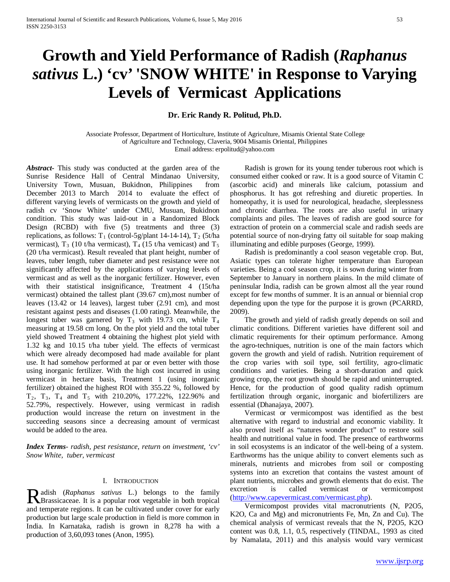# **Growth and Yield Performance of Radish (***Raphanus sativus* **L.) 'cv' 'SNOW WHITE' in Response to Varying Levels of Vermicast Applications**

**Dr. Eric Randy R. Politud, Ph.D.**

Associate Professor, Department of Horticulture, Institute of Agriculture, Misamis Oriental State College of Agriculture and Technology, Claveria, 9004 Misamis Oriental, Philippines Email address: erpolitud@yahoo.com

*Abstract***-** This study was conducted at the garden area of the Sunrise Residence Hall of Central Mindanao University, University Town, Musuan, Bukidnon, Philippines from December 2013 to March 2014 to evaluate the effect of different varying levels of vermicasts on the growth and yield of radish cv 'Snow White' under CMU, Musuan, Bukidnon condition. This study was laid-out in a Randomized Block Design (RCBD) with five (5) treatments and three (3) replications, as follows:  $T_1$  (control-5g/plant 14-14-14),  $T_2$  (5t/ha vermicast),  $T_3$  (10 t/ha vermicast),  $T_4$  (15 t/ha vemicast) and  $T_5$ (20 t/ha vermicast). Result revealed that plant height, number of leaves, tuber length, tuber diameter and pest resistance were not significantly affected by the applications of varying levels of vermicast and as well as the inorganic fertilizer. However, even with their statistical insignificance, Treatment 4 (15t/ha vermicast) obtained the tallest plant (39.67 cm),most number of leaves (13.42 or 14 leaves), largest tuber (2.91 cm), and most resistant against pests and diseases (1.00 rating). Meanwhile, the longest tuber was garnered by  $T_3$  with 19.73 cm, while  $T_4$ measuring at 19.58 cm long. On the plot yield and the total tuber yield showed Treatment 4 obtaining the highest plot yield with 1.32 kg and 10.15 t/ha tuber yield. The effects of vermicast which were already decomposed had made available for plant use. It had somehow performed at par or even better with those using inorganic fertilizer. With the high cost incurred in using vermicast in hectare basis, Treatment 1 (using inorganic fertilizer) obtained the highest ROI with 355.22 %, followed by T2, T3, T4 and T5 with 210.20%, 177.22%, 122.96% and 52.79%, respectively. However, using vermicast in radish production would increase the return on investment in the succeeding seasons since a decreasing amount of vermicast would be added to the area.

*Index Terms*- *radish, pest resistance, return on investment, 'cv' Snow White, tuber, vermicast*

## I. INTRODUCTION

adish (*Raphanus sativus* L.) belongs to the family Radish (Raphanus sativus L.) belongs to the family<br>Brassicaceae. It is a popular root vegetable in both tropical and temperate regions. It can be cultivated under cover for early production but large scale production in field is more common in India. In Karnataka, radish is grown in 8,278 ha with a production of 3,60,093 tones (Anon, 1995).

 Radish is grown for its young tender tuberous root which is consumed either cooked or raw. It is a good source of Vitamin C (ascorbic acid) and minerals like calcium, potassium and phosphorus. It has got refreshing and diuretic properties. In homeopathy, it is used for neurological, headache, sleeplessness and chronic diarrhea. The roots are also useful in urinary complaints and piles. The leaves of radish are good source for extraction of protein on a commercial scale and radish seeds are potential source of non-drying fatty oil suitable for soap making illuminating and edible purposes (George, 1999).

 Radish is predominantly a cool season vegetable crop. But, Asiatic types can tolerate higher temperature than European varieties. Being a cool season crop, it is sown during winter from September to January in northern plains. In the mild climate of peninsular India, radish can be grown almost all the year round except for few months of summer. It is an annual or biennial crop depending upon the type for the purpose it is grown (PCARRD, 2009).

 The growth and yield of radish greatly depends on soil and climatic conditions. Different varieties have different soil and climatic requirements for their optimum performance. Among the agro-techniques, nutrition is one of the main factors which govern the growth and yield of radish. Nutrition requirement of the crop varies with soil type, soil fertility, agro-climatic conditions and varieties. Being a short-duration and quick growing crop, the root growth should be rapid and uninterrupted. Hence, for the production of good quality radish optimum fertilization through organic, inorganic and biofertilizers are essential (Dhanajaya, 2007).

 Vermicast or vermicompost was identified as the best alternative with regard to industrial and economic viability. It also proved itself as "natures wonder product" to restore soil health and nutritional value in food. The presence of earthworms in soil ecosystems is an indicator of the well-being of a system. Earthworms has the unique ability to convert elements such as minerals, nutrients and microbes from soil or composting systems into an excretion that contains the vastest amount of plant nutrients, microbes and growth elements that do exist. The excretion is called vermicast or vermicompost [\(http://www.capevermicast.com/vermicast.php\)](http://www.capevermicast.com/vermicast.php).

 Vermicompost provides vital macronutrients (N, P2O5, K2O, Ca and Mg) and micronutrients Fe, Mn, Zn and Cu). The chemical analysis of vermicast reveals that the N, P2O5, K2O content was 0.8, 1.1, 0.5, respectively (TINDAL, 1993 as cited by Namalata, 2011) and this analysis would vary vermicast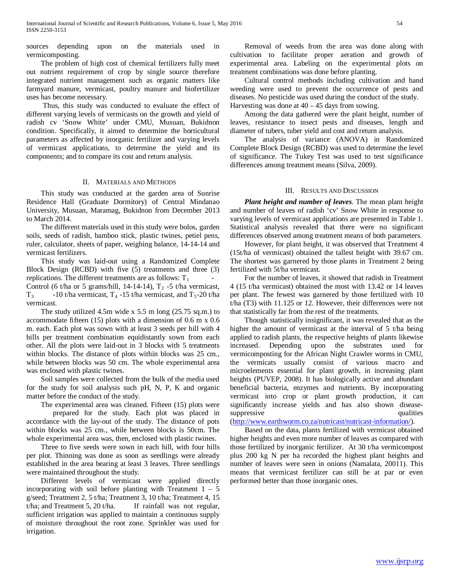sources depending upon on the materials used in vermicomposting.

 The problem of high cost of chemical fertilizers fully meet out nutrient requirement of crop by single source therefore integrated nutrient management such as organic matters like farmyard manure, vermicast, poultry manure and biofertilizer uses has become necessary.

 Thus, this study was conducted to evaluate the effect of different varying levels of vermicasts on the growth and yield of radish cv 'Snow White' under CMU, Musuan, Bukidnon condition. Specifically, it aimed to determine the horticultural parameters as affected by inorganic fertilizer and varying levels of vermicast applications, to determine the yield and its components; and to compare its cost and return analysis.

## II. MATERIALS AND METHODS

 This study was conducted at the garden area of Sunrise Residence Hall (Graduate Dormitory) of Central Mindanao University, Musuan, Maramag, Bukidnon from December 2013 to March 2014.

 The different materials used in this study were bolos, garden soils, seeds of radish, bamboo stick, plastic twines, petiel pens, ruler, calculator, sheets of paper, weighing balance, 14-14-14 and vermicast fertilizers.

 This study was laid-out using a Randomized Complete Block Design (RCBD) with five (5) treatments and three (3) replications. The different treatments are as follows:  $T_1$ 

Control (6 t/ha or 5 grams/hill, 14-14-14),  $T_2$  -5 t/ha vermicast,  $T_3$  -10 t/ha vermicast,  $T_4$  -15 t/ha vermicast, and  $T_5$ -20 t/ha vermicast.

 The study utilized 4.5m wide x 5.5 m long (25.75 sq.m.) to accommodate fifteen (15) plots with a dimension of 0.6 m x 0.6 m. each. Each plot was sown with at least 3 seeds per hill with 4 hills per treatment combination equidistantly sown from each other. All the plots were laid-out in 3 blocks with 5 treatments within blocks. The distance of plots within blocks was 25 cm., while between blocks was 50 cm. The whole experimental area was enclosed with plastic twines.

 Soil samples were collected from the bulk of the media used for the study for soil analysis such pH, N, P, K and organic matter before the conduct of the study.

The experimental area was cleaned. Fifteen (15) plots were

prepared for the study. Each plot was placed in accordance with the lay-out of the study. The distance of pots within blocks was 25 cm., while between blocks is 50cm. The whole experimental area was, then, enclosed with plastic twines.

 Three to five seeds were sown in each hill, with four hills per plot. Thinning was done as soon as seedlings were already established in the area bearing at least 3 leaves. Three seedlings were maintained throughout the study.

 Different levels of vermicast were applied directly incorporating with soil before planting with Treatment  $1 - 5$ g/seed; Treatment 2, 5 t/ha; Treatment 3, 10 t/ha; Treatment 4, 15 t/ha; and Treatment 5, 20 t/ha. If rainfall was not regular, sufficient irrigation was applied to maintain a continuous supply of moisture throughout the root zone. Sprinkler was used for irrigation.

 Removal of weeds from the area was done along with cultivation to facilitate proper aeration and growth of experimental area. Labeling on the experimental plots on treatment combinations was done before planting.

 Cultural control methods including cultivation and hand weeding were used to prevent the occurrence of pests and diseases. No pesticide was used during the conduct of the study. Harvesting was done at  $40 - 45$  days from sowing.

 Among the data gathered were the plant height, number of leaves, resistance to insect pests and diseases, length and diameter of tubers, tuber yield and cost and return analysis.

 The analysis of variance (ANOVA) in Randomized Complete Block Design (RCBD) was used to determine the level of significance. The Tukey Test was used to test significance differences among treatment means (Silva, 2009).

## III. RESULTS AND DISCUSSION

 *Plant height and number of leaves*. The mean plant height and number of leaves of radish 'cv' Snow White in response to varying levels of vermicast applications are presented in Table 1. Statistical analysis revealed that there were no significant differences observed among treatment means of both parameters.

 However, for plant height, it was observed that Treatment 4 (15t/ha of vermicast) obtained the tallest height with 39.67 cm. The shortest was garnered by those plants in Treatment 2 being fertilized with 5t/ha vermicast.

 For the number of leaves, it showed that radish in Treatment 4 (15 t/ha vermicast) obtained the most with 13.42 or 14 leaves per plant. The fewest was garnered by those fertilized with 10 t/ha (T3) with 11.125 or 12. However, their differences were not that statistically far from the rest of the treatments.

 Though statistically insignificant, it was revealed that as the higher the amount of vermicast at the interval of 5 t/ha being applied to radish plants, the respective heights of plants likewise increased. Depending upon the substrates used for vermicomposting for the African Night Crawler worms in CMU, the vermicats usually consist of various macro and microelements essential for plant growth, in increasing plant heights (PUVEP, 2008). It has biologically active and abundant beneficial bacteria, enzymes and nutrients. By incorporating vermicast into crop or plant growth production, it can significantly increase yields and has also shown diseasesuppressive qualities

[\(http://www.earthworm.co.za/nutricast/nutricast-information/\)](http://www.earthworm.co.za/nutricast/nutricast-information/).

 Based on the data, plants fertilized with vermicast obtained higher heights and even more number of leaves as compared with those fertilized by inorganic fertilizer. At 30 t/ha vermicompost plus 200 kg N per ha recorded the highest plant heights and number of leaves were seen in onions (Namalata, 20011). This means that vermicast fertilizer can still be at par or even performed better than those inorganic ones.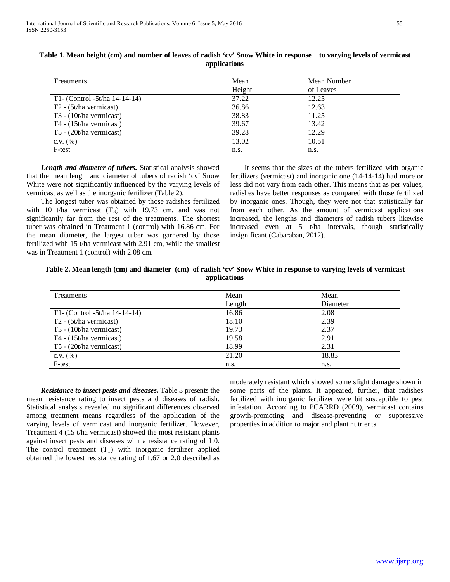| <b>Treatments</b>                   | Mean   | Mean Number |  |
|-------------------------------------|--------|-------------|--|
|                                     | Height | of Leaves   |  |
| T1- (Control -5t/ha 14-14-14)       | 37.22  | 12.25       |  |
| $T2 - (5t/ha$ vermicast)            | 36.86  | 12.63       |  |
| T <sub>3</sub> - (10t/ha vermicast) | 38.83  | 11.25       |  |
| T4 - (15t/ha vermicast)             | 39.67  | 13.42       |  |
| T5 - (20t/ha vermicast)             | 39.28  | 12.29       |  |
| $C.V.$ $(\%)$                       | 13.02  | 10.51       |  |
| F-test                              | n.s.   | n.s.        |  |

# **Table 1. Mean height (cm) and number of leaves of radish 'cv' Snow White in response to varying levels of vermicast applications**

 *Length and diameter of tubers.* Statistical analysis showed that the mean length and diameter of tubers of radish 'cv' Snow White were not significantly influenced by the varying levels of vermicast as well as the inorganic fertilizer (Table 2).

 The longest tuber was obtained by those radishes fertilized with 10 t/ha vermicast  $(T_3)$  with 19.73 cm. and was not significantly far from the rest of the treatments. The shortest tuber was obtained in Treatment 1 (control) with 16.86 cm. For the mean diameter, the largest tuber was garnered by those fertilized with 15 t/ha vermicast with 2.91 cm, while the smallest was in Treatment 1 (control) with 2.08 cm.

 It seems that the sizes of the tubers fertilized with organic fertilizers (vermicast) and inorganic one (14-14-14) had more or less did not vary from each other. This means that as per values, radishes have better responses as compared with those fertilized by inorganic ones. Though, they were not that statistically far from each other. As the amount of vermicast applications increased, the lengths and diameters of radish tubers likewise increased even at 5 t/ha intervals, though statistically insignificant (Cabaraban, 2012).

# **Table 2. Mean length (cm) and diameter (cm) of radish 'cv' Snow White in response to varying levels of vermicast applications**

| <b>Treatments</b>                   | Mean   | Mean     |  |
|-------------------------------------|--------|----------|--|
|                                     | Length | Diameter |  |
| T1- (Control -5t/ha 14-14-14)       | 16.86  | 2.08     |  |
| $T2 - (5t/ha$ vermicast)            | 18.10  | 2.39     |  |
| T <sub>3</sub> - (10t/ha vermicast) | 19.73  | 2.37     |  |
| T4 - (15t/ha vermicast)             | 19.58  | 2.91     |  |
| T5 - (20t/ha vermicast)             | 18.99  | 2.31     |  |
| c.v. $(\% )$                        | 21.20  | 18.83    |  |
| F-test                              | n.s.   | n.s.     |  |

 *Resistance to insect pests and diseases.* Table 3 presents the mean resistance rating to insect pests and diseases of radish. Statistical analysis revealed no significant differences observed among treatment means regardless of the application of the varying levels of vermicast and inorganic fertilizer. However, Treatment 4 (15 t/ha vermicast) showed the most resistant plants against insect pests and diseases with a resistance rating of 1.0. The control treatment  $(T_1)$  with inorganic fertilizer applied obtained the lowest resistance rating of 1.67 or 2.0 described as moderately resistant which showed some slight damage shown in some parts of the plants. It appeared, further, that radishes fertilized with inorganic fertilizer were bit susceptible to pest infestation. According to PCARRD (2009), vermicast contains growth-promoting and disease-preventing or suppressive properties in addition to major and plant nutrients.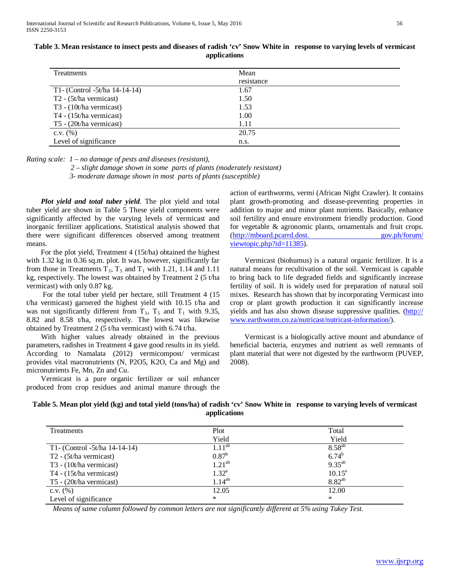| Treatments                          | Mean       |  |
|-------------------------------------|------------|--|
|                                     | resistance |  |
| T1- (Control -5t/ha 14-14-14)       | 1.67       |  |
| T <sub>2</sub> - (5t/ha vermicast)  | 1.50       |  |
| T <sub>3</sub> - (10t/ha vermicast) | 1.53       |  |
| T4 - $(15t/ha$ vermicast)           | 1.00       |  |
| T5 - $(20t/ha$ vermicast)           | 1.11       |  |
| c.v. $(\% )$                        | 20.75      |  |
| Level of significance               | n.s.       |  |

**Table 3. Mean resistance to insect pests and diseases of radish 'cv' Snow White in response to varying levels of vermicast applications**

*Rating scale: 1 – no damage of pests and diseases (resistant),*

 *2 – slight damage shown in some parts of plants (moderately resistant)* 

 *3- moderate damage shown in most parts of plants (susceptible)*

 *Plot yield and total tuber yield*. The plot yield and total tuber yield are shown in Table 5 These yield components were significantly affected by the varying levels of vermicast and inorganic fertilizer applications. Statistical analysis showed that there were significant differences observed among treatment means.

 For the plot yield, Treatment 4 (15t/ha) obtained the highest with 1.32 kg in 0.36 sq.m. plot. It was, however, significantly far from those in Treatments  $T_3$ ,  $T_5$  and  $T_1$  with 1.21, 1.14 and 1.11 kg, respectively. The lowest was obtained by Treatment 2 (5 t/ha vermicast) with only 0.87 kg.

 For the total tuber yield per hectare, still Treatment 4 (15 t/ha vermicast) garnered the highest yield with 10.15 t/ha and was not significantly different from  $T_3$ ,  $T_5$  and  $T_1$  with 9.35, 8.82 and 8.58 t/ha, respectively. The lowest was likewise obtained by Treatment 2 (5 t/ha vermicast) with 6.74 t/ha.

 With higher values already obtained in the previous parameters, radishes in Treatment 4 gave good results in its yield. According to Namalata (2012) vermicompost/ vermicast provides vital macronutrients (N, P2O5, K2O, Ca and Mg) and micronutrients Fe, Mn, Zn and Cu.

 Vermicast is a pure organic fertilizer or soil enhancer produced from crop residues and animal manure through the action of earthworms, vermi (African Night Crawler). It contains plant growth-promoting and disease-preventing properties in addition to major and minor plant nutrients. Basically, enhance soil fertility and ensure environment friendly production. Good for vegetable & agronomic plants, ornamentals and fruit crops. (http://mboard.pcarrd.dost. gov.ph/forum/ viewtopic.php?id=11385).

 Vermicast (biohumus) is a natural organic fertilizer. It is a natural means for recultivation of the soil. Vermicast is capable to bring back to life degraded fields and significantly increase fertility of soil. It is widely used for preparation of natural soil mixes. Research has shown that by incorporating Vermicast into crop or plant growth production it can significantly increase yields and has also shown disease suppressive qualities. (http:// www.earthworm.co.za/nutricast/nutricast-information/).

 Vermicast is a biologically active mount and abundance of beneficial bacteria, enzymes and nutrient as well remnants of plant material that were not digested by the earthworm (PUVEP, 2008).

# **Table 5. Mean plot yield (kg) and total yield (tons/ha) of radish 'cv' Snow White in response to varying levels of vermicast applications**

| <b>Treatments</b>                   | Plot           | Total           |
|-------------------------------------|----------------|-----------------|
|                                     | Yield          | Yield           |
| T1- (Control -5t/ha 14-14-14)       | $1.11^{ab}$    | $8.58^{ab}$     |
| $T2 - (5t/ha)$ vermicast)           | $0.87^{\rm b}$ | $6.74^{b}$      |
| T <sub>3</sub> - (10t/ha vermicast) | $1.21^{ab}$    | $9.35^{ab}$     |
| T4 - (15t/ha vermicast)             | $1.32^{a}$     | $10.15^{\rm a}$ |
| T5 - (20t/ha vermicast)             | $1.14^{ab}$    | $8.82^{ab}$     |
| $C.V.$ $(\%)$                       | 12.05          | 12.00           |
| Level of significance               | $\ast$         | $\ast$          |

*Means of same column followed by common letters are not significantly different at 5% using Tukey Test.*